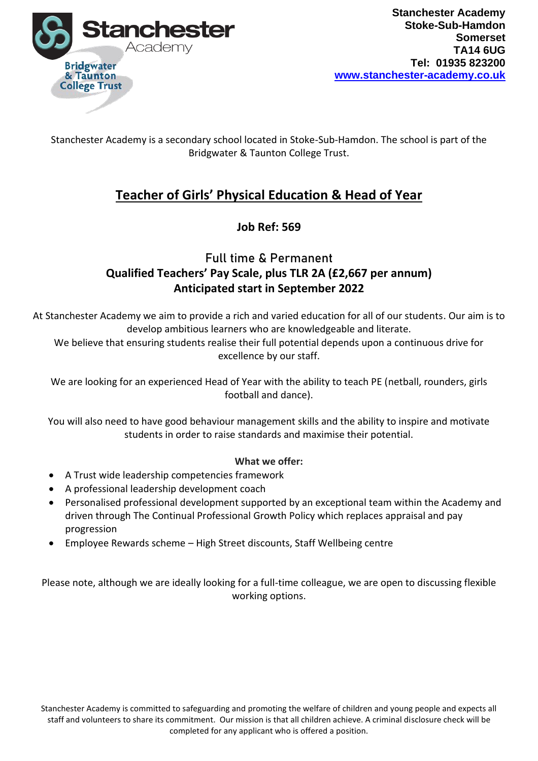

## Stanchester Academy is a secondary school located in Stoke-Sub-Hamdon. The school is part of the Bridgwater & Taunton College Trust.

## **Teacher of Girls' Physical Education & Head of Year**

**Job Ref: 569**

## **Full time & Permanent Qualified Teachers' Pay Scale, plus TLR 2A (£2,667 per annum) Anticipated start in September 2022**

At Stanchester Academy we aim to provide a rich and varied education for all of our students. Our aim is to develop ambitious learners who are knowledgeable and literate.

We believe that ensuring students realise their full potential depends upon a continuous drive for excellence by our staff.

We are looking for an experienced Head of Year with the ability to teach PE (netball, rounders, girls football and dance).

You will also need to have good behaviour management skills and the ability to inspire and motivate students in order to raise standards and maximise their potential.

## **What we offer:**

- A Trust wide leadership competencies framework
- A professional leadership development coach
- Personalised professional development supported by an exceptional team within the Academy and driven through The Continual Professional Growth Policy which replaces appraisal and pay progression
- Employee Rewards scheme High Street discounts, Staff Wellbeing centre

Please note, although we are ideally looking for a full-time colleague, we are open to discussing flexible working options.

Stanchester Academy is committed to safeguarding and promoting the welfare of children and young people and expects all staff and volunteers to share its commitment. Our mission is that all children achieve. A criminal disclosure check will be completed for any applicant who is offered a position.